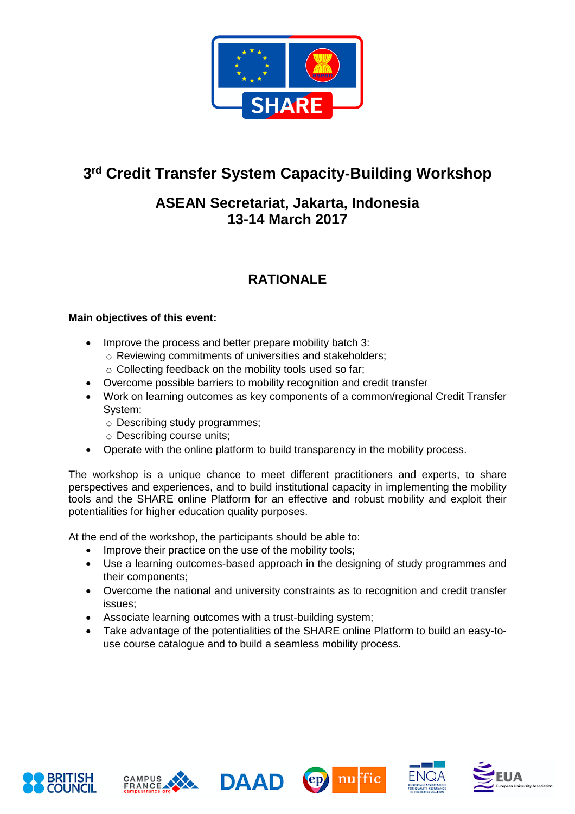

# **3 rd Credit Transfer System Capacity-Building Workshop**

#### **ASEAN Secretariat, Jakarta, Indonesia 13-14 March 2017**

## **RATIONALE**

#### **Main objectives of this event:**

- Improve the process and better prepare mobility batch 3:
	- o Reviewing commitments of universities and stakeholders;
	- o Collecting feedback on the mobility tools used so far;
- Overcome possible barriers to mobility recognition and credit transfer
- Work on learning outcomes as key components of a common/regional Credit Transfer System:
	- o Describing study programmes;
	- o Describing course units;
- Operate with the online platform to build transparency in the mobility process.

The workshop is a unique chance to meet different practitioners and experts, to share perspectives and experiences, and to build institutional capacity in implementing the mobility tools and the SHARE online Platform for an effective and robust mobility and exploit their potentialities for higher education quality purposes.

At the end of the workshop, the participants should be able to:

- Improve their practice on the use of the mobility tools;
- Use a learning outcomes-based approach in the designing of study programmes and their components;
- Overcome the national and university constraints as to recognition and credit transfer issues;
- Associate learning outcomes with a trust-building system;
- Take advantage of the potentialities of the SHARE online Platform to build an easy-touse course catalogue and to build a seamless mobility process.











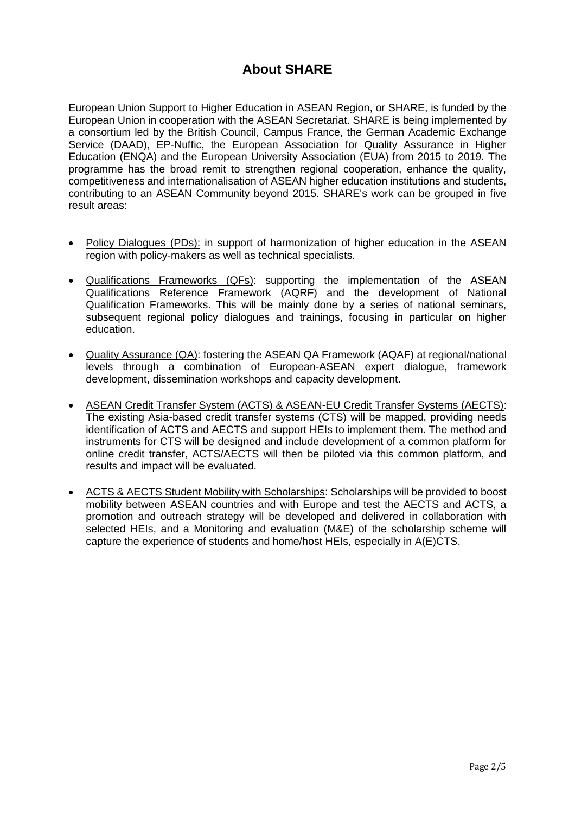#### **About SHARE**

European Union Support to Higher Education in ASEAN Region, or SHARE, is funded by the European Union in cooperation with the ASEAN Secretariat. SHARE is being implemented by a consortium led by the British Council, Campus France, the German Academic Exchange Service (DAAD), EP-Nuffic, the European Association for Quality Assurance in Higher Education (ENQA) and the European University Association (EUA) from 2015 to 2019. The programme has the broad remit to strengthen regional cooperation, enhance the quality, competitiveness and internationalisation of ASEAN higher education institutions and students, contributing to an ASEAN Community beyond 2015. SHARE's work can be grouped in five result areas:

- Policy Dialogues (PDs): in support of harmonization of higher education in the ASEAN region with policy-makers as well as technical specialists.
- Qualifications Frameworks (QFs): supporting the implementation of the ASEAN Qualifications Reference Framework (AQRF) and the development of National Qualification Frameworks. This will be mainly done by a series of national seminars, subsequent regional policy dialogues and trainings, focusing in particular on higher education.
- Quality Assurance (QA): fostering the ASEAN QA Framework (AQAF) at regional/national levels through a combination of European-ASEAN expert dialogue, framework development, dissemination workshops and capacity development.
- ASEAN Credit Transfer System (ACTS) & ASEAN-EU Credit Transfer Systems (AECTS): The existing Asia-based credit transfer systems (CTS) will be mapped, providing needs identification of ACTS and AECTS and support HEIs to implement them. The method and instruments for CTS will be designed and include development of a common platform for online credit transfer, ACTS/AECTS will then be piloted via this common platform, and results and impact will be evaluated.
- ACTS & AECTS Student Mobility with Scholarships: Scholarships will be provided to boost mobility between ASEAN countries and with Europe and test the AECTS and ACTS, a promotion and outreach strategy will be developed and delivered in collaboration with selected HEIs, and a Monitoring and evaluation (M&E) of the scholarship scheme will capture the experience of students and home/host HEIs, especially in A(E)CTS.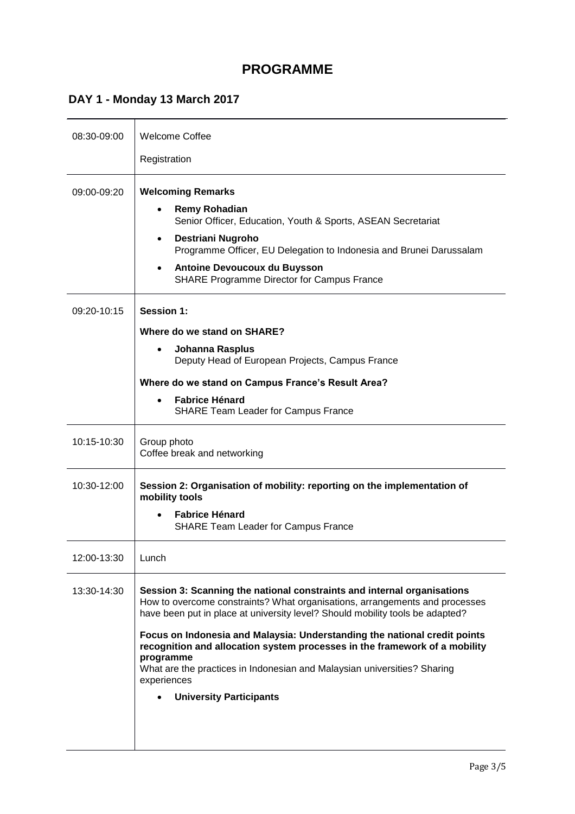#### **PROGRAMME**

### **DAY 1 - Monday 13 March 2017**

| 08:30-09:00 | <b>Welcome Coffee</b>                                                                                                                                                                                                                                                                                           |
|-------------|-----------------------------------------------------------------------------------------------------------------------------------------------------------------------------------------------------------------------------------------------------------------------------------------------------------------|
|             | Registration                                                                                                                                                                                                                                                                                                    |
| 09:00-09:20 | <b>Welcoming Remarks</b><br><b>Remy Rohadian</b><br>Senior Officer, Education, Youth & Sports, ASEAN Secretariat<br><b>Destriani Nugroho</b><br>Programme Officer, EU Delegation to Indonesia and Brunei Darussalam<br><b>Antoine Devoucoux du Buysson</b><br><b>SHARE Programme Director for Campus France</b> |
| 09:20-10:15 | <b>Session 1:</b>                                                                                                                                                                                                                                                                                               |
|             | Where do we stand on SHARE?                                                                                                                                                                                                                                                                                     |
|             | Johanna Rasplus<br>Deputy Head of European Projects, Campus France                                                                                                                                                                                                                                              |
|             | Where do we stand on Campus France's Result Area?                                                                                                                                                                                                                                                               |
|             | <b>Fabrice Hénard</b><br><b>SHARE Team Leader for Campus France</b>                                                                                                                                                                                                                                             |
| 10:15-10:30 | Group photo<br>Coffee break and networking                                                                                                                                                                                                                                                                      |
| 10:30-12:00 | Session 2: Organisation of mobility: reporting on the implementation of<br>mobility tools<br><b>Fabrice Hénard</b>                                                                                                                                                                                              |
|             | <b>SHARE Team Leader for Campus France</b>                                                                                                                                                                                                                                                                      |
| 12:00-13:30 | Lunch                                                                                                                                                                                                                                                                                                           |
| 13:30-14:30 | Session 3: Scanning the national constraints and internal organisations<br>How to overcome constraints? What organisations, arrangements and processes<br>have been put in place at university level? Should mobility tools be adapted?                                                                         |
|             | Focus on Indonesia and Malaysia: Understanding the national credit points<br>recognition and allocation system processes in the framework of a mobility<br>programme<br>What are the practices in Indonesian and Malaysian universities? Sharing<br>experiences                                                 |
|             | <b>University Participants</b>                                                                                                                                                                                                                                                                                  |
|             |                                                                                                                                                                                                                                                                                                                 |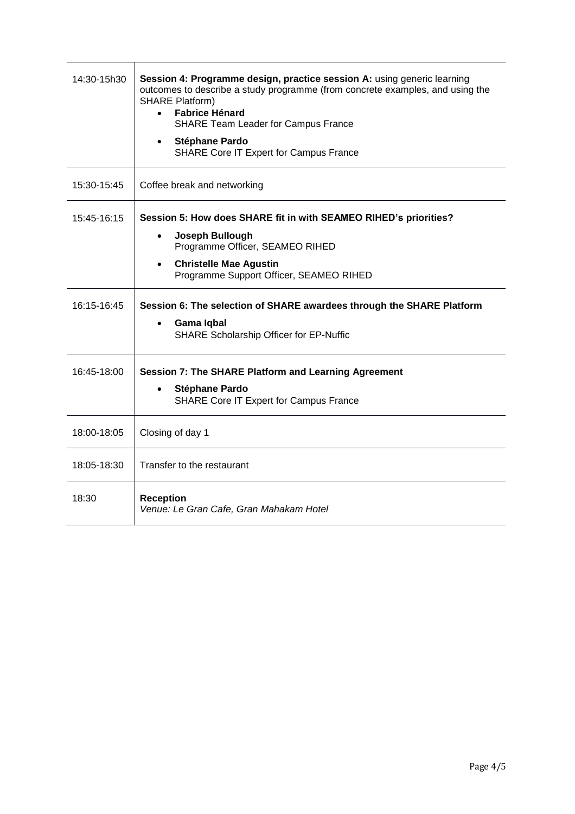| 14:30-15h30 | Session 4: Programme design, practice session A: using generic learning<br>outcomes to describe a study programme (from concrete examples, and using the<br><b>SHARE Platform)</b><br><b>Fabrice Hénard</b><br><b>SHARE Team Leader for Campus France</b><br>Stéphane Pardo<br><b>SHARE Core IT Expert for Campus France</b> |
|-------------|------------------------------------------------------------------------------------------------------------------------------------------------------------------------------------------------------------------------------------------------------------------------------------------------------------------------------|
| 15:30-15:45 | Coffee break and networking                                                                                                                                                                                                                                                                                                  |
| 15:45-16:15 | Session 5: How does SHARE fit in with SEAMEO RIHED's priorities?<br>Joseph Bullough<br>Programme Officer, SEAMEO RIHED<br><b>Christelle Mae Agustin</b><br>Programme Support Officer, SEAMEO RIHED                                                                                                                           |
| 16:15-16:45 | Session 6: The selection of SHARE awardees through the SHARE Platform<br>Gama Iqbal<br><b>SHARE Scholarship Officer for EP-Nuffic</b>                                                                                                                                                                                        |
| 16:45-18:00 | Session 7: The SHARE Platform and Learning Agreement<br>Stéphane Pardo<br>SHARE Core IT Expert for Campus France                                                                                                                                                                                                             |
| 18:00-18:05 | Closing of day 1                                                                                                                                                                                                                                                                                                             |
| 18:05-18:30 | Transfer to the restaurant                                                                                                                                                                                                                                                                                                   |
| 18:30       | <b>Reception</b><br>Venue: Le Gran Cafe, Gran Mahakam Hotel                                                                                                                                                                                                                                                                  |